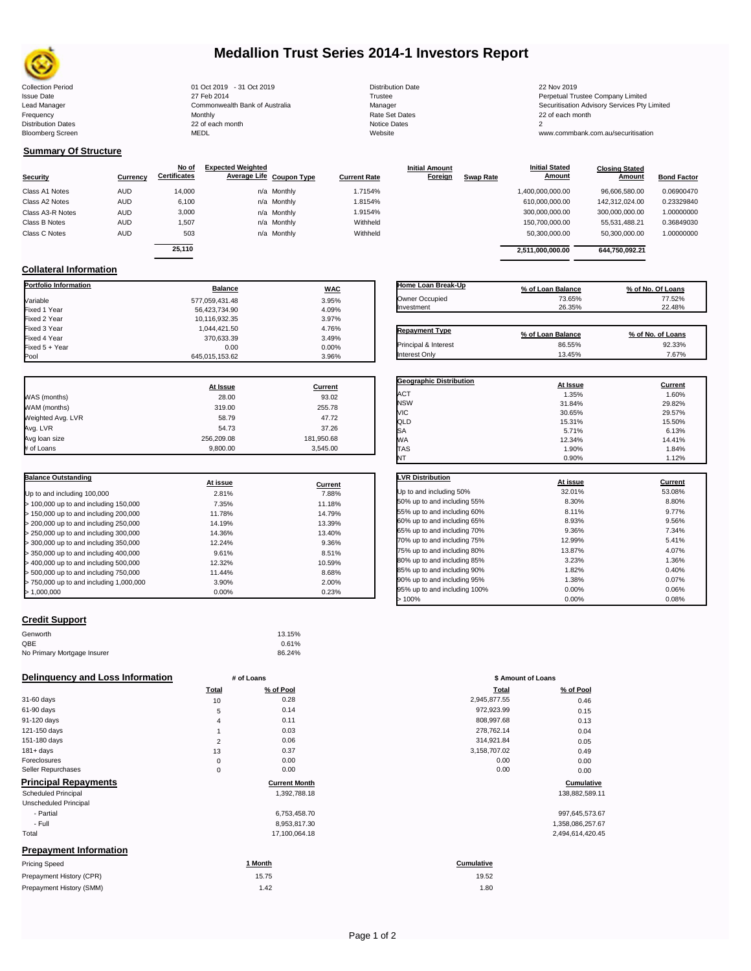

# **Medallion Trust Series 2014-1 Investors Report**

| <b>Collection Period</b>  | 01 Oct 2019 - 31 Oct 2019      | <b>Distribution Date</b> | 22 Nov 2019                             |
|---------------------------|--------------------------------|--------------------------|-----------------------------------------|
| <b>Issue Date</b>         | 27 Feb 2014                    | Trustee                  | Perpetual Trustee Company Limited       |
| Lead Manager              | Commonwealth Bank of Australia | Manager                  | Securitisation Advisory Services Pty Li |
| Frequency                 | Monthly                        | Rate Set Dates           | 22 of each month                        |
| <b>Distribution Dates</b> | 22 of each month               | Notice Dates             |                                         |
| <b>Bloomberg Screen</b>   | MEDL                           | Website                  | www.commbank.com.au/securitisation      |
|                           |                                |                          |                                         |

| <b>Distributio</b> |
|--------------------|
| Trustee            |
| Manager            |
| <b>Rate Set</b>    |
| Notice Da          |
| Website            |
|                    |

**Initial Amount** 

**Closing Stated Amount**

# **Summary Of Structure**

**Collateral Information**

Fixed 3 Yea<mark>r</mark><br>Fixed 4 Year

|                  |            | No of               | <b>Expected Weighted</b> |             |                     | <b>Initial Amount</b> |                  | <b>Initial Stated</b> | <b>Closing Stated</b> |                    |
|------------------|------------|---------------------|--------------------------|-------------|---------------------|-----------------------|------------------|-----------------------|-----------------------|--------------------|
| Security         | Currency   | <b>Certificates</b> | Average Life Coupon Type |             | <b>Current Rate</b> | <b>Foreign</b>        | <b>Swap Rate</b> | <b>Amount</b>         | Amount                | <b>Bond Factor</b> |
| Class A1 Notes   | <b>AUD</b> | 14.000              |                          | n/a Monthly | 1.7154%             |                       |                  | 1,400,000,000.00      | 96.606.580.00         | 0.06900470         |
| Class A2 Notes   | <b>AUD</b> | 6,100               |                          | n/a Monthly | 1.8154%             |                       |                  | 610.000.000.00        | 142.312.024.00        | 0.23329840         |
| Class A3-R Notes | <b>AUD</b> | 3,000               |                          | n/a Monthly | 1.9154%             |                       |                  | 300,000,000.00        | 300,000,000.00        | 1.00000000         |
| Class B Notes    | <b>AUD</b> | 1.507               |                          | n/a Monthly | Withheld            |                       |                  | 150.700.000.00        | 55.531.488.21         | 0.36849030         |
| Class C Notes    | <b>AUD</b> | 503                 |                          | n/a Monthly | Withheld            |                       |                  | 50,300,000.00         | 50,300,000.00         | 1.00000000         |
|                  |            | 25.110              |                          |             |                     |                       |                  | 2,511,000,000.00      | 644.750.092.21        |                    |
|                  |            |                     |                          |             |                     |                       |                  |                       |                       |                    |

**Portfolio Information Balance WAC** Variable 577,059,431.48 3.95% Fixed 1 Year 4.09% Fixed 2 Year 10,116,932.35 3.97%

Fixed 5 + Year 0.00 0.00%

645,015,153.62

| Home Loan Break-Up    | % of Loan Balance | % of No. Of Loans |
|-----------------------|-------------------|-------------------|
| Owner Occupied        | 73.65%            | 77.52%            |
| Investment            | 26.35%            | 22.48%            |
| <b>Repayment Type</b> |                   |                   |
|                       | % of Loan Balance | % of No. of Loans |
| Principal & Interest  | 86.55%            | 92.33%            |
| Interest Only         | 13.45%            | 7.67%             |

**Geographic Distribution**<br> **ACT ACT ACT ACT ACT ACT ACT ACT ACT ACT ACT ACT ACT ACT ACT ACT ACT ACT ACT ACT ACT ACT** ACT 1.35% 1.60% NSW 31.84% 29.82%

**Initial Stated** 

|                   | At Issue   | Current    |
|-------------------|------------|------------|
| WAS (months)      | 28.00      | 93.02      |
| WAM (months)      | 319.00     | 255.78     |
| Weighted Avg. LVR | 58.79      | 47.72      |
| Avg. LVR          | 54.73      | 37.26      |
| Avg loan size     | 256.209.08 | 181,950.68 |
| # of Loans        | 9,800.00   | 3,545.00   |

 $\frac{1}{370,633.39}$   $\frac{3.49\%}{0.00}$ 

| <b>Balance Outstanding</b>              | At issue | Current |
|-----------------------------------------|----------|---------|
| Up to and including 100,000             | 2.81%    | 7.88%   |
| $>$ 100,000 up to and including 150,000 | 7.35%    | 11.18%  |
| $>$ 150,000 up to and including 200,000 | 11.78%   | 14.79%  |
| > 200,000 up to and including 250,000   | 14.19%   | 13.39%  |
| $>$ 250,000 up to and including 300,000 | 14.36%   | 13.40%  |
| > 300,000 up to and including 350,000   | 12.24%   | 9.36%   |
| $>$ 350,000 up to and including 400,000 | 9.61%    | 8.51%   |
| > 400,000 up to and including 500,000   | 12.32%   | 10.59%  |
| > 500,000 up to and including 750,000   | 11.44%   | 8.68%   |
| > 750,000 up to and including 1,000,000 | 3.90%    | 2.00%   |
| > 1.000.000                             | 0.00%    | 0.23%   |

| <b>VIC</b>                   | 30.65%   | 29.57%  |
|------------------------------|----------|---------|
| QLD                          | 15.31%   | 15.50%  |
| SA                           | 5.71%    | 6.13%   |
| WА                           | 12.34%   | 14.41%  |
| <b>TAS</b>                   | 1.90%    | 1.84%   |
| NT                           | 0.90%    | 1.12%   |
|                              |          |         |
| <b>LVR Distribution</b>      | At issue | Current |
| Up to and including 50%      | 32.01%   | 53.08%  |
| 50% up to and including 55%  | 8.30%    | 8.80%   |
| 55% up to and including 60%  | 8.11%    | 9.77%   |
| 60% up to and including 65%  | 8.93%    | 9.56%   |
| 65% up to and including 70%  | 9.36%    | 7.34%   |
| 70% up to and including 75%  | 12.99%   | 5.41%   |
| 75% up to and including 80%  | 13.87%   | 4.07%   |
| 80% up to and including 85%  | 3.23%    | 1.36%   |
| 85% up to and including 90%  | 1.82%    | 0.40%   |
| 90% up to and including 95%  | 1.38%    | 0.07%   |
| 95% up to and including 100% | 0.00%    | 0.06%   |

95% up to and including 100% 0.00% 0.00% 0.06% 0.08% 0.08% 0.08% 0.08% 0.08% 0.08% 0.08% 0.08% 0.08% 0.08% 0.08% 0.08% 0.08% 0.08% 0.08% 0.08% 0.08% 0.08% 0.08% 0.08% 0.08% 0.08% 0.08% 0.08% 0.08% 0.08% 0.08% 0.08% 0.08% 0  $> 100\%$  0.08% 0.00% 0.08%

## **Credit Support**

| Genworth                    | 13.15% |
|-----------------------------|--------|
| QBE                         | 0.61%  |
| No Primary Mortgage Insurer | 86.24% |

## **Delinquency and Loss Information # of Loans**

| Total          | % of Pool            | Total        | % of Pool        |
|----------------|----------------------|--------------|------------------|
| 10             | 0.28                 | 2,945,877.55 | 0.46             |
| 5              | 0.14                 | 972,923.99   | 0.15             |
| 4              | 0.11                 | 808,997.68   | 0.13             |
|                | 0.03                 | 278,762.14   | 0.04             |
| $\overline{2}$ | 0.06                 | 314,921.84   | 0.05             |
| 13             | 0.37                 | 3,158,707.02 | 0.49             |
| 0              | 0.00                 | 0.00         | 0.00             |
| 0              | 0.00                 | 0.00         | 0.00             |
|                | <b>Current Month</b> |              | Cumulative       |
|                | 1,392,788.18         |              | 138,882,589.11   |
|                |                      |              |                  |
|                | 6,753,458.70         |              | 997,645,573.67   |
|                | 8,953,817.30         |              | 1,358,086,257.67 |
|                | 17,100,064.18        |              | 2,494,614,420.45 |
|                |                      |              |                  |
|                | 1 Month              | Cumulative   |                  |
|                | 15.75                | 19.52        |                  |
|                | 1.42                 | 1.80         |                  |
|                |                      |              |                  |

| Page 1 of 2 |  |  |
|-------------|--|--|
|             |  |  |

|                | # of Loans           | \$ Amount of Loans |               |
|----------------|----------------------|--------------------|---------------|
| Total          | % of Pool            | Total              | % of Pool     |
| 10             | 0.28                 | 2,945,877.55       | 0.46          |
| 5              | 0.14                 | 972,923.99         | 0.15          |
| 4              | 0.11                 | 808,997.68         | 0.13          |
| 1              | 0.03                 | 278,762.14         | 0.04          |
| $\overline{2}$ | 0.06                 | 314,921.84         | 0.05          |
| 13             | 0.37                 | 3,158,707.02       | 0.49          |
| $\mathbf 0$    | 0.00                 | 0.00               | 0.00          |
| 0              | 0.00                 | 0.00               | 0.00          |
|                | <b>Current Month</b> |                    | Cumulative    |
|                | 1,392,788.18         |                    | 138,882,589.1 |
|                | 6,753,458.70         |                    | 997,645,573.6 |
|                |                      |                    |               |

| 2,494,614,4 |
|-------------|
|             |